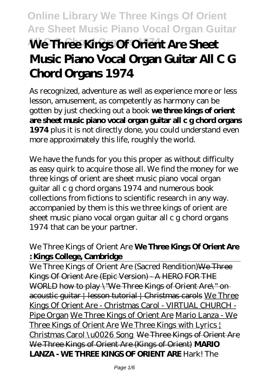# **Online Library We Three Kings Of Orient Are Sheet Music Piano Vocal Organ Guitar We Three Kings Of Orient Are Sheet Music Piano Vocal Organ Guitar All C G Chord Organs 1974**

As recognized, adventure as well as experience more or less lesson, amusement, as competently as harmony can be gotten by just checking out a book **we three kings of orient are sheet music piano vocal organ guitar all c g chord organs 1974** plus it is not directly done, you could understand even more approximately this life, roughly the world.

We have the funds for you this proper as without difficulty as easy quirk to acquire those all. We find the money for we three kings of orient are sheet music piano vocal organ guitar all c g chord organs 1974 and numerous book collections from fictions to scientific research in any way. accompanied by them is this we three kings of orient are sheet music piano vocal organ guitar all c g chord organs 1974 that can be your partner.

### *We Three Kings of Orient Are* **We Three Kings Of Orient Are : Kings College, Cambridge**

We Three Kings of Orient Are (Sacred Rendition) We Three Kings Of Orient Are (Epic Version) - A HERO FOR THE WORLD how to play \"We Three Kings of Orient Are\" on acoustic guitar | lesson tutorial | Christmas carols We Three Kings Of Orient Are - Christmas Carol - VIRTUAL CHURCH - Pipe Organ We Three Kings of Orient Are Mario Lanza - We Three Kings of Orient Are We Three Kings with Lyrics | Christmas Carol \u0026 Song We Three Kings of Orient Are We Three Kings of Orient Are (Kings of Orient) **MARIO LANZA - WE THREE KINGS OF ORIENT ARE** *Hark! The*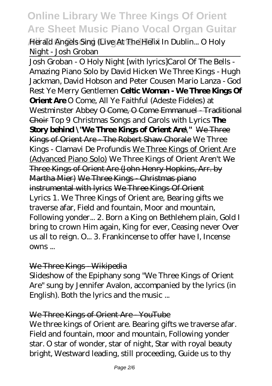**All C G Chord Organs 1974** *Herald Angels Sing (Live At The Helix In Dublin...* O Holy Night - Josh Groban

Josh Groban - O Holy Night [with lyrics]*Carol Of The Bells - Amazing Piano Solo by David Hicken We Three Kings - Hugh Jackman, David Hobson and Peter Cousen Mario Lanza - God Rest Ye Merry Gentlemen* **Celtic Woman - We Three Kings Of Orient Are** *O Come, All Ye Faithful (Adeste Fideles) at Westminster Abbey* O Come, O Come Emmanuel - Traditional Choir *Top 9 Christmas Songs and Carols with Lyrics* **The Story behind \"We Three Kings of Orient Are\"** We Three Kings of Orient Are - The Robert Shaw Chorale We Three Kings - Clamavi De Profundis We Three Kings of Orient Are (Advanced Piano Solo) *We Three Kings of Orient Aren't* We Three Kings of Orient Are (John Henry Hopkins, Arr. by Martha Mier) We Three Kings - Christmas piano instrumental with lyrics We Three Kings Of Orient Lyrics 1. We Three Kings of Orient are, Bearing gifts we traverse afar, Field and fountain, Moor and mountain, Following yonder... 2. Born a King on Bethlehem plain, Gold I bring to crown Him again, King for ever, Ceasing never Over us all to reign. O... 3. Frankincense to offer have I, Incense owns ...

### We Three Kings Wikipedia

Slideshow of the Epiphany song "We Three Kings of Orient Are" sung by Jennifer Avalon, accompanied by the lyrics (in English). Both the lyrics and the music ...

### We Three Kings of Orient Are YouTube

We three kings of Orient are. Bearing gifts we traverse afar. Field and fountain, moor and mountain, Following yonder star. O star of wonder, star of night, Star with royal beauty bright, Westward leading, still proceeding, Guide us to thy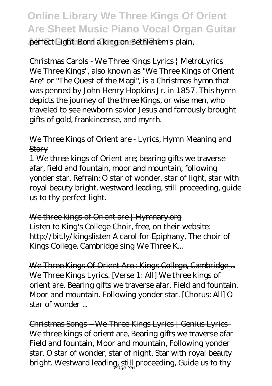**All C G Chord Organs 1974** perfect Light. Born a king on Bethlehem's plain,

Christmas Carols - We Three Kings Lyrics | MetroLyrics We Three Kings", also known as "We Three Kings of Orient Are" or "The Quest of the Magi", is a Christmas hymn that was penned by John Henry Hopkins Jr. in 1857. This hymn depicts the journey of the three Kings, or wise men, who traveled to see newborn savior Jesus and famously brought gifts of gold, frankincense, and myrrh.

### We Three Kings of Orient are - Lyrics, Hymn Meaning and **Story**

1 We three kings of Orient are; bearing gifts we traverse afar, field and fountain, moor and mountain, following yonder star. Refrain: O star of wonder, star of light, star with royal beauty bright, westward leading, still proceeding, guide us to thy perfect light.

We three kings of Orient are | Hymnary.org Listen to King's College Choir, free, on their website: http://bit.ly/kingslisten A carol for Epiphany, The choir of Kings College, Cambridge sing We Three K...

We Three Kings Of Orient Are : Kings College, Cambridge ... We Three Kings Lyrics. [Verse 1: All] We three kings of orient are. Bearing gifts we traverse afar. Field and fountain. Moor and mountain. Following yonder star. [Chorus: All] O star of wonder ...

Christmas Songs – We Three Kings Lyrics | Genius Lyrics We three kings of orient are, Bearing gifts we traverse afar Field and fountain, Moor and mountain, Following yonder star. O star of wonder, star of night, Star with royal beauty bright. Westward leading, still proceeding, Guide us to thy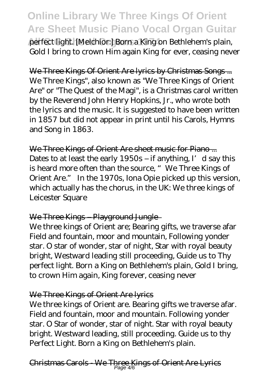**All C G Chord Organs 1974** perfect light. [Melchior:] Born a King on Bethlehem's plain, Gold I bring to crown Him again King for ever, ceasing never

We Three Kings Of Orient Are lyrics by Christmas Songs ... We Three Kings", also known as "We Three Kings of Orient Are" or "The Quest of the Magi", is a Christmas carol written by the Reverend John Henry Hopkins, Jr., who wrote both the lyrics and the music. It is suggested to have been written in 1857 but did not appear in print until his Carols, Hymns and Song in 1863.

We Three Kings of Orient Are sheet music for Piano... Dates to at least the early  $1950s$  – if anything, I' d say this is heard more often than the source, "We Three Kings of Orient Are." In the 1970s, Iona Opie picked up this version, which actually has the chorus, in the UK: We three kings of Leicester Square

### We Three Kings – Playground Jungle-

We three kings of Orient are; Bearing gifts, we traverse afar Field and fountain, moor and mountain, Following yonder star. O star of wonder, star of night, Star with royal beauty bright, Westward leading still proceeding, Guide us to Thy perfect light. Born a King on Bethlehem's plain, Gold I bring, to crown Him again, King forever, ceasing never

### We Three Kings of Orient Are lyrics

We three kings of Orient are. Bearing gifts we traverse afar. Field and fountain, moor and mountain. Following yonder star. O Star of wonder, star of night. Star with royal beauty bright. Westward leading, still proceeding. Guide us to thy Perfect Light. Born a King on Bethlehem's plain.

Christmas Carols - We Three Kings of Orient Are Lyrics Page 4/6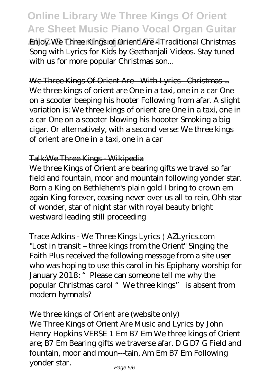**Enjoy We Three Kings of Orient Are - Traditional Christmas** Song with Lyrics for Kids by Geethanjali Videos. Stay tuned with us for more popular Christmas son...

#### We Three Kings Of Orient Are - With Lyrics - Christmas ...

We three kings of orient are One in a taxi, one in a car One on a scooter beeping his hooter Following from afar. A slight variation is: We three kings of orient are One in a taxi, one in a car One on a scooter blowing his hoooter Smoking a big cigar. Or alternatively, with a second verse: We three kings of orient are One in a taxi, one in a car

#### Talk:We Three Kings - Wikipedia

We three Kings of Orient are bearing gifts we travel so far field and fountain, moor and mountain following yonder star. Born a King on Bethlehem's plain gold I bring to crown em again King forever, ceasing never over us all to rein, Ohh star of wonder, star of night star with royal beauty bright westward leading still proceeding

Trace Adkins - We Three Kings Lyrics | AZLyrics.com "Lost in transit – three kings from the Orient" Singing the Faith Plus received the following message from a site user who was hoping to use this carol in his Epiphany worship for January 2018: " Please can someone tell me why the popular Christmas carol "We three kings" is absent from modern hymnals?

### We three kings of Orient are (website only)

We Three Kings of Orient Are Music and Lyrics by John Henry Hopkins VERSE 1 Em B7 Em We three kings of Orient are; B7 Em Bearing gifts we traverse afar. D G D7 G Field and fountain, moor and moun---tain, Am Em B7 Em Following yonder star.